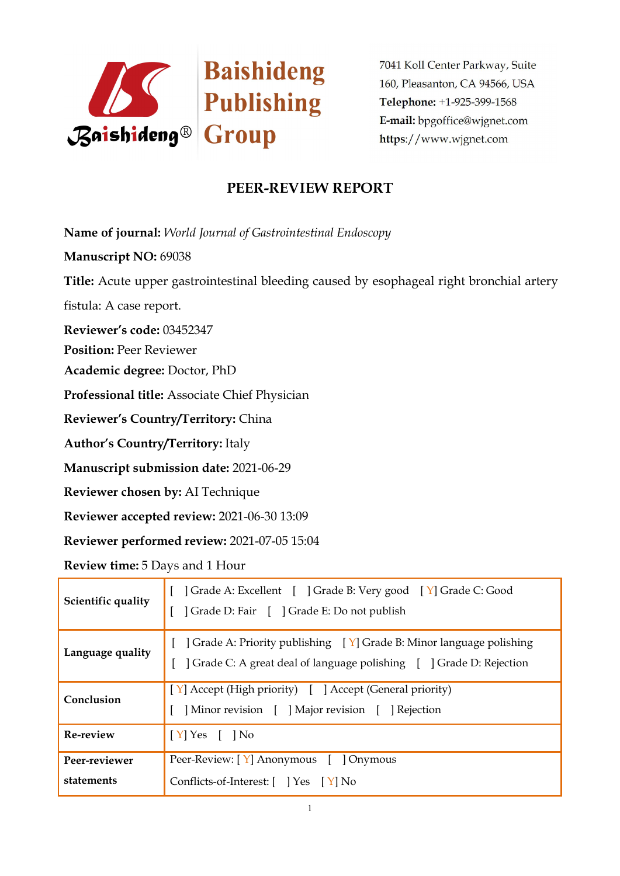

7041 Koll Center Parkway, Suite 160, Pleasanton, CA 94566, USA Telephone: +1-925-399-1568 E-mail: bpgoffice@wjgnet.com https://www.wjgnet.com

## **PEER-REVIEW REPORT**

**Name of journal:** *World Journal ofGastrointestinal Endoscopy*

**Manuscript NO:** 69038

**Title:** Acute upper gastrointestinal bleeding caused by esophageal right bronchial artery

fistula: A case report.

**Reviewer's code:** 03452347

**Position:** Peer Reviewer

**Academic degree:** Doctor, PhD

**Professional title:** Associate Chief Physician

**Reviewer's Country/Territory:** China

**Author's Country/Territory:** Italy

**Manuscript submission date:** 2021-06-29

**Reviewer chosen by:** AI Technique

**Reviewer accepted review:** 2021-06-30 13:09

**Reviewer performed review:** 2021-07-05 15:04

**Review time:** 5 Days and 1 Hour

| Scientific quality          | Crade A: Excellent [ ] Grade B: Very good [ Y] Grade C: Good<br>] Grade D: Fair [ ] Grade E: Do not publish                                                  |  |
|-----------------------------|--------------------------------------------------------------------------------------------------------------------------------------------------------------|--|
| Language quality            | $\vert$ Grade A: Priority publishing $\vert Y \vert$ Grade B: Minor language polishing<br>Crade C: A great deal of language polishing [ ] Grade D: Rejection |  |
| Conclusion                  | [Y] Accept (High priority) [ ] Accept (General priority)<br>Minor revision [ ] Major revision [ ] Rejection                                                  |  |
| Re-review                   | $[Y]$ Yes $[$ $]$ No                                                                                                                                         |  |
| Peer-reviewer<br>statements | Peer-Review: [Y] Anonymous [ ] Onymous<br>Conflicts-of-Interest: [ ] Yes [Y] No                                                                              |  |